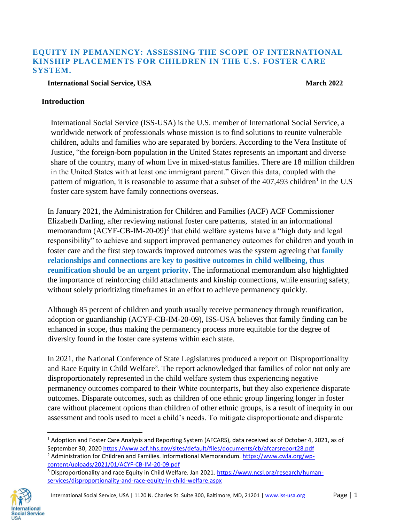## **EQUITY IN PEMANENCY: ASSESSING THE SCOPE OF INTERNATIONAL KINSHIP PLACEMENTS FOR CHILDREN IN THE U.S. FOSTER CARE SYSTEM.**

### **International Social Service, USA March 2022**

### **Introduction**

International Social Service (ISS-USA) is the U.S. member of International Social Service, a worldwide network of professionals whose mission is to find solutions to reunite vulnerable children, adults and families who are separated by borders. According to the Vera Institute of Justice, "the foreign-born population in the United States represents an important and diverse share of the country, many of whom live in mixed-status families. There are 18 million children in the United States with at least one immigrant parent." Given this data, coupled with the pattern of migration, it is reasonable to assume that a subset of the  $407,493$  children<sup>1</sup> in the U.S foster care system have family connections overseas.

In January 2021, the Administration for Children and Families (ACF) ACF Commissioner Elizabeth Darling, after reviewing national foster care patterns, stated in an informational memorandum  $(ACYF-CB-IM-20-09)^2$  that child welfare systems have a "high duty and legal responsibility" to achieve and support improved permanency outcomes for children and youth in foster care and the first step towards improved outcomes was the system agreeing that **family relationships and connections are key to positive outcomes in child wellbeing, thus reunification should be an urgent priority**. The informational memorandum also highlighted the importance of reinforcing child attachments and kinship connections, while ensuring safety, without solely prioritizing timeframes in an effort to achieve permanency quickly.

Although 85 percent of children and youth usually receive permanency through reunification, adoption or guardianship (ACYF-CB-IM-20-09), ISS-USA believes that family finding can be enhanced in scope, thus making the permanency process more equitable for the degree of diversity found in the foster care systems within each state.

In 2021, the National Conference of State Legislatures produced a report on Disproportionality and Race Equity in Child Welfare<sup>3</sup>. The report acknowledged that families of color not only are disproportionately represented in the child welfare system thus experiencing negative permanency outcomes compared to their White counterparts, but they also experience disparate outcomes. Disparate outcomes, such as children of one ethnic group lingering longer in foster care without placement options than children of other ethnic groups, is a result of inequity in our assessment and tools used to meet a child's needs. To mitigate disproportionate and disparate

<sup>&</sup>lt;sup>3</sup> Disproportionality and race Equity in Child Welfare. Jan 2021. [https://www.ncsl.org/research/human](https://www.ncsl.org/research/human-services/disproportionality-and-race-equity-in-child-welfare.aspx)[services/disproportionality-and-race-equity-in-child-welfare.aspx](https://www.ncsl.org/research/human-services/disproportionality-and-race-equity-in-child-welfare.aspx)



l

 $1$  Adoption and Foster Care Analysis and Reporting System (AFCARS), data received as of October 4, 2021, as of September 30, 202[0 https://www.acf.hhs.gov/sites/default/files/documents/cb/afcarsreport28.pdf](https://www.acf.hhs.gov/sites/default/files/documents/cb/afcarsreport28.pdf) <sup>2</sup> Administration for Children and Families. Informational Memorandum. [https://www.cwla.org/wp](https://www.cwla.org/wp-content/uploads/2021/01/ACYF-CB-IM-20-09.pdf)[content/uploads/2021/01/ACYF-CB-IM-20-09.pdf](https://www.cwla.org/wp-content/uploads/2021/01/ACYF-CB-IM-20-09.pdf)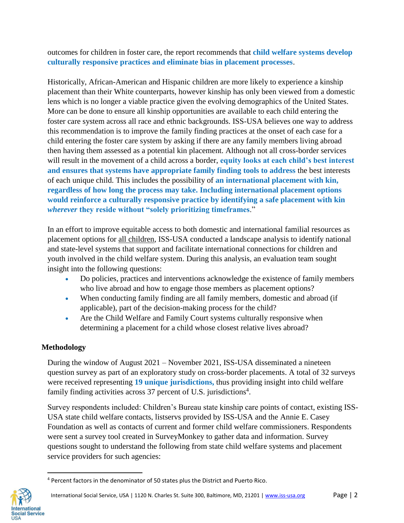outcomes for children in foster care, the report recommends that **child welfare systems develop culturally responsive practices and eliminate bias in placement processes**.

Historically, African-American and Hispanic children are more likely to experience a kinship placement than their White counterparts, however kinship has only been viewed from a domestic lens which is no longer a viable practice given the evolving demographics of the United States. More can be done to ensure all kinship opportunities are available to each child entering the foster care system across all race and ethnic backgrounds. ISS-USA believes one way to address this recommendation is to improve the family finding practices at the onset of each case for a child entering the foster care system by asking if there are any family members living abroad then having them assessed as a potential kin placement. Although not all cross-border services will result in the movement of a child across a border, **equity looks at each child's best interest and ensures that systems have appropriate family finding tools to address** the best interests of each unique child. This includes the possibility of **an international placement with kin, regardless of how long the process may take. Including international placement options would reinforce a culturally responsive practice by identifying a safe placement with kin**  *wherever* **they reside without "solely prioritizing timeframes**."

In an effort to improve equitable access to both domestic and international familial resources as placement options for all children, ISS-USA conducted a landscape analysis to identify national and state-level systems that support and facilitate international connections for children and youth involved in the child welfare system. During this analysis, an evaluation team sought insight into the following questions:

- Do policies, practices and interventions acknowledge the existence of family members who live abroad and how to engage those members as placement options?
- When conducting family finding are all family members, domestic and abroad (if applicable), part of the decision-making process for the child?
- Are the Child Welfare and Family Court systems culturally responsive when determining a placement for a child whose closest relative lives abroad?

# **Methodology**

During the window of August 2021 – November 2021, ISS-USA disseminated a nineteen question survey as part of an exploratory study on cross-border placements. A total of 32 surveys were received representing **19 unique jurisdictions,** thus providing insight into child welfare family finding activities across 37 percent of U.S. jurisdictions<sup>4</sup>.

Survey respondents included: Children's Bureau state kinship care points of contact, existing ISS-USA state child welfare contacts, listservs provided by ISS-USA and the Annie E. Casey Foundation as well as contacts of current and former child welfare commissioners. Respondents were sent a survey tool created in SurveyMonkey to gather data and information. Survey questions sought to understand the following from state child welfare systems and placement service providers for such agencies:

<sup>4</sup> Percent factors in the denominator of 50 states plus the District and Puerto Rico.



 $\overline{a}$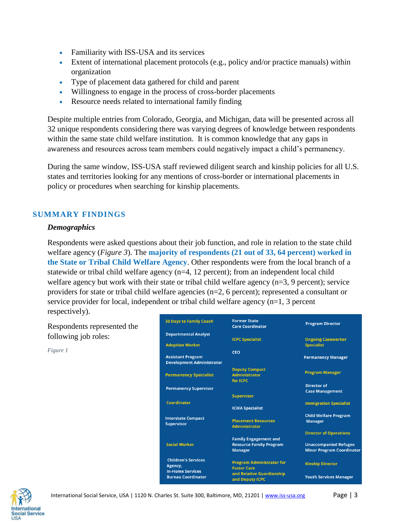- Familiarity with ISS-USA and its services
- Extent of international placement protocols (e.g., policy and/or practice manuals) within organization
- Type of placement data gathered for child and parent
- Willingness to engage in the process of cross-border placements
- Resource needs related to international family finding

Despite multiple entries from Colorado, Georgia, and Michigan, data will be presented across all 32 unique respondents considering there was varying degrees of knowledge between respondents within the same state child welfare institution. It is common knowledge that any gaps in awareness and resources across team members could negatively impact a child's permanency.

During the same window, ISS-USA staff reviewed diligent search and kinship policies for all U.S. states and territories looking for any mentions of cross-border or international placements in policy or procedures when searching for kinship placements.

## **SUMMARY FINDINGS**

### *Demographics*

Respondents were asked questions about their job function, and role in relation to the state child welfare agency (*Figure 3*). The **majority of respondents (21 out of 33, 64 percent) worked in the State or Tribal Child Welfare Agency**. Other respondents were from the local branch of a statewide or tribal child welfare agency (n=4, 12 percent); from an independent local child welfare agency but work with their state or tribal child welfare agency (n=3, 9 percent); service providers for state or tribal child welfare agencies (n=2, 6 percent); represented a consultant or service provider for local, independent or tribal child welfare agency (n=1, 3 percent respectively).

Respondents represented the following job roles:

*Figure 1*

| <b>30 Days to Family Coach</b>                               | <b>Former State</b><br><b>Care Coordinator</b>         | <b>Program Director</b>          |
|--------------------------------------------------------------|--------------------------------------------------------|----------------------------------|
| <b>Departmental Analyst</b>                                  |                                                        |                                  |
|                                                              | <b>ICPC Specialist</b>                                 | <b>Ongoing Caseworker</b>        |
| <b>Adoption Worker</b>                                       |                                                        | <b>Specialist</b>                |
|                                                              | <b>CEO</b>                                             |                                  |
| <b>Assistant Program</b><br><b>Development Administrator</b> |                                                        | <b>Permanency Manager</b>        |
| <b>Permanency Specialist</b>                                 | <b>Deputy Compact</b>                                  | <b>Program Manager</b>           |
|                                                              | <b>Administrator</b>                                   |                                  |
|                                                              | for ICPC                                               |                                  |
| <b>Permanency Supervisor</b>                                 |                                                        | <b>Director of</b>               |
|                                                              | <b>Supervisor</b>                                      | <b>Case Management</b>           |
| Coordinator                                                  |                                                        |                                  |
|                                                              | <b>ICWA Specialist</b>                                 | <b>Immigration Specialist</b>    |
|                                                              |                                                        | <b>Child Welfare Program</b>     |
| <b>Interstate Compact</b><br><b>Supervisor</b>               | <b>Placement Resources</b><br><b>Administrator</b>     | <b>Manager</b>                   |
|                                                              |                                                        | <b>Director of Operations</b>    |
|                                                              | <b>Family Engagement and</b>                           |                                  |
| <b>Social Worker</b>                                         | <b>Resource Family Program</b>                         | <b>Unaccompanied Refugee</b>     |
|                                                              | <b>Manager</b>                                         | <b>Minor Program Coordinator</b> |
| <b>Children's Services</b>                                   |                                                        |                                  |
| Agency,                                                      | <b>Program Administrator for</b><br><b>Foster Care</b> | <b>Kinship Director</b>          |
| <b>In-Home Services</b>                                      | and Relative Guardianship                              |                                  |
| <b>Bureau Coordinator</b>                                    | and Deputy ICPC                                        | <b>Youth Services Manager</b>    |

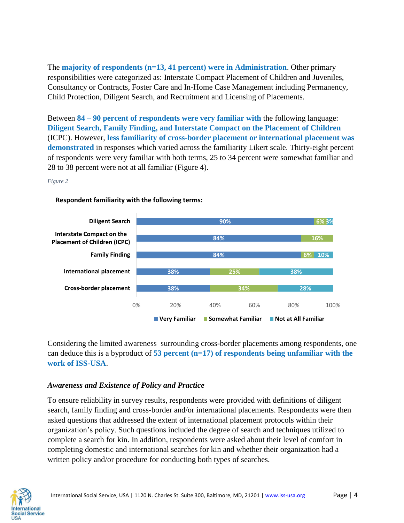The **majority of respondents (n=13, 41 percent) were in Administration**. Other primary responsibilities were categorized as: Interstate Compact Placement of Children and Juveniles, Consultancy or Contracts, Foster Care and In-Home Case Management including Permanency, Child Protection, Diligent Search, and Recruitment and Licensing of Placements.

Between **84 – 90 percent of respondents were very familiar with** the following language: **Diligent Search, Family Finding, and Interstate Compact on the Placement of Children** (ICPC). However, **less familiarity of cross-border placement or international placement was demonstrated** in responses which varied across the familiarity Likert scale. Thirty-eight percent of respondents were very familiar with both terms, 25 to 34 percent were somewhat familiar and 28 to 38 percent were not at all familiar (Figure 4).

*Figure 2*



### **Respondent familiarity with the following terms:**

Considering the limited awareness surrounding cross-border placements among respondents, one can deduce this is a byproduct of **53 percent (n=17) of respondents being unfamiliar with the work of ISS-USA**.

## *Awareness and Existence of Policy and Practice*

To ensure reliability in survey results, respondents were provided with definitions of diligent search, family finding and cross-border and/or international placements. Respondents were then asked questions that addressed the extent of international placement protocols within their organization's policy. Such questions included the degree of search and techniques utilized to complete a search for kin. In addition, respondents were asked about their level of comfort in completing domestic and international searches for kin and whether their organization had a written policy and/or procedure for conducting both types of searches.

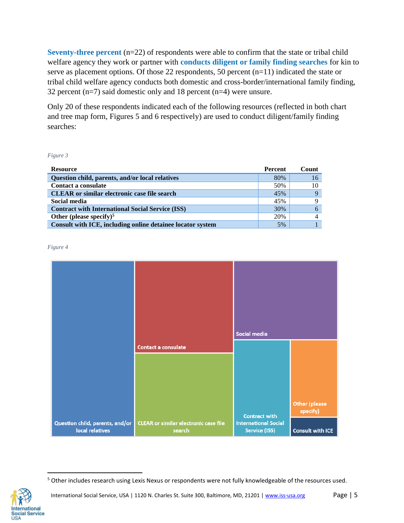**Seventy-three percent** (n=22) of respondents were able to confirm that the state or tribal child welfare agency they work or partner with **conducts diligent or family finding searches** for kin to serve as placement options. Of those 22 respondents, 50 percent (n=11) indicated the state or tribal child welfare agency conducts both domestic and cross-border/international family finding, 32 percent  $(n=7)$  said domestic only and 18 percent  $(n=4)$  were unsure.

Only 20 of these respondents indicated each of the following resources (reflected in both chart and tree map form, Figures 5 and 6 respectively) are used to conduct diligent/family finding searches:

*Figure 3*

| <b>Resource</b>                                            | <b>Percent</b> | Count |
|------------------------------------------------------------|----------------|-------|
| Question child, parents, and/or local relatives            | 80%            | 16    |
| Contact a consulate                                        | 50%            | 10    |
| <b>CLEAR</b> or similar electronic case file search        | 45%            |       |
| Social media                                               | 45%            |       |
| <b>Contract with International Social Service (ISS)</b>    | 30%            |       |
| Other (please specify) <sup>5</sup>                        | 20%            |       |
| Consult with ICE, including online detainee locator system | 5%             |       |

*Figure 4*





<sup>5</sup> Other includes research using Lexis Nexus or respondents were not fully knowledgeable of the resources used.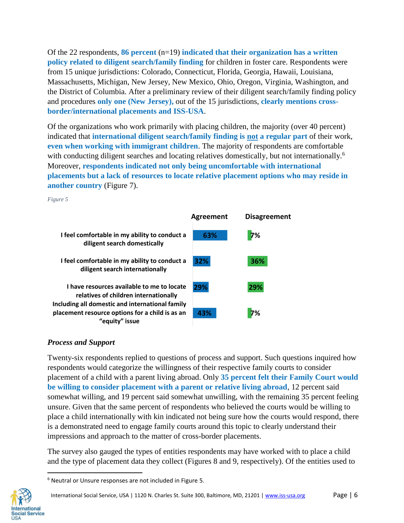Of the 22 respondents, **86 percent** (n=19) **indicated that their organization has a written policy related to diligent search/family finding** for children in foster care. Respondents were from 15 unique jurisdictions: Colorado, Connecticut, Florida, Georgia, Hawaii, Louisiana, Massachusetts, Michigan, New Jersey, New Mexico, Ohio, Oregon, Virginia, Washington, and the District of Columbia. After a preliminary review of their diligent search/family finding policy and procedures **only one (New Jersey),** out of the 15 jurisdictions, **clearly mentions crossborder/international placements and ISS-USA**.

Of the organizations who work primarily with placing children, the majority (over 40 percent) indicated that **international diligent search/family finding is not a regular part** of their work, **even when working with immigrant children**. The majority of respondents are comfortable with conducting diligent searches and locating relatives domestically, but not internationally.<sup>6</sup> Moreover, **respondents indicated not only being uncomfortable with international placements but a lack of resources to locate relative placement options who may reside in another country** (Figure 7).

*Figure 5*



## *Process and Support*

Twenty-six respondents replied to questions of process and support. Such questions inquired how respondents would categorize the willingness of their respective family courts to consider placement of a child with a parent living abroad. Only **35 percent felt their Family Court would be willing to consider placement with a parent or relative living abroad**, 12 percent said somewhat willing, and 19 percent said somewhat unwilling, with the remaining 35 percent feeling unsure. Given that the same percent of respondents who believed the courts would be willing to place a child internationally with kin indicated not being sure how the courts would respond, there is a demonstrated need to engage family courts around this topic to clearly understand their impressions and approach to the matter of cross-border placements.

The survey also gauged the types of entities respondents may have worked with to place a child and the type of placement data they collect (Figures 8 and 9, respectively). Of the entities used to

<sup>6</sup> Neutral or Unsure responses are not included in Figure 5.

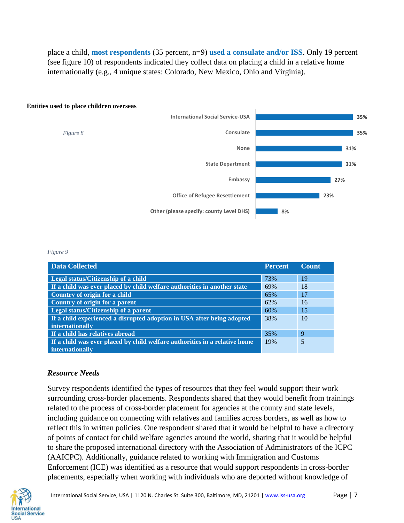place a child, **most respondents** (35 percent, n=9) **used a consulate and/or ISS**. Only 19 percent (see figure 10) of respondents indicated they collect data on placing a child in a relative home internationally (e.g., 4 unique states: Colorado, New Mexico, Ohio and Virginia).



#### **Entities used to place children overseas**

#### *Figure 9*

| <b>Data Collected</b>                                                      | <b>Percent</b> | <b>Count</b> |
|----------------------------------------------------------------------------|----------------|--------------|
| Legal status/Citizenship of a child                                        | 73%            | 19           |
| If a child was ever placed by child welfare authorities in another state   | 69%            | 18           |
| Country of origin for a child                                              | 65%            | 17           |
| Country of origin for a parent                                             | 62%            | 16           |
| Legal status/Citizenship of a parent                                       | 60%            | 15           |
| If a child experienced a disrupted adoption in USA after being adopted     | 38%            | 10           |
| internationally                                                            |                |              |
| If a child has relatives abroad                                            | 35%            | 9            |
| If a child was ever placed by child welfare authorities in a relative home | 19%            | 5            |
| internationally                                                            |                |              |

### *Resource Needs*

Survey respondents identified the types of resources that they feel would support their work surrounding cross-border placements. Respondents shared that they would benefit from trainings related to the process of cross-border placement for agencies at the county and state levels, including guidance on connecting with relatives and families across borders, as well as how to reflect this in written policies. One respondent shared that it would be helpful to have a directory of points of contact for child welfare agencies around the world, sharing that it would be helpful to share the proposed international directory with the Association of Administrators of the ICPC (AAICPC). Additionally, guidance related to working with Immigration and Customs Enforcement (ICE) was identified as a resource that would support respondents in cross-border placements, especially when working with individuals who are deported without knowledge of

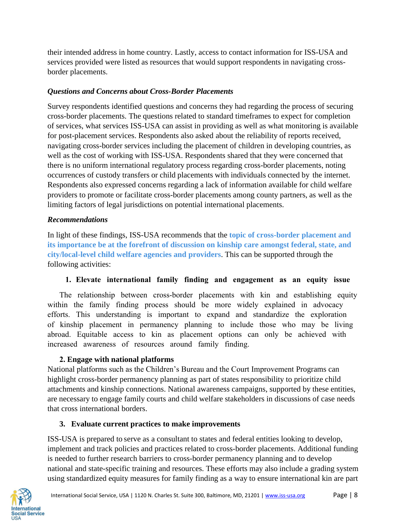their intended address in home country. Lastly, access to contact information for ISS-USA and services provided were listed as resources that would support respondents in navigating crossborder placements.

## *Questions and Concerns about Cross-Border Placements*

Survey respondents identified questions and concerns they had regarding the process of securing cross-border placements. The questions related to standard timeframes to expect for completion of services, what services ISS-USA can assist in providing as well as what monitoring is available for post-placement services. Respondents also asked about the reliability of reports received, navigating cross-border services including the placement of children in developing countries, as well as the cost of working with ISS-USA. Respondents shared that they were concerned that there is no uniform international regulatory process regarding cross-border placements, noting occurrences of custody transfers or child placements with individuals connected by the internet. Respondents also expressed concerns regarding a lack of information available for child welfare providers to promote or facilitate cross-border placements among county partners, as well as the limiting factors of legal jurisdictions on potential international placements.

## *Recommendations*

In light of these findings, ISS-USA recommends that the **topic of cross-border placement and its importance be at the forefront of discussion on kinship care amongst federal, state, and city/local-level child welfare agencies and providers**. This can be supported through the following activities:

# **1. Elevate international family finding and engagement as an equity issue**

The relationship between cross-border placements with kin and establishing equity within the family finding process should be more widely explained in advocacy efforts. This understanding is important to expand and standardize the exploration of kinship placement in permanency planning to include those who may be living abroad. Equitable access to kin as placement options can only be achieved with increased awareness of resources around family finding.

# **2. Engage with national platforms**

National platforms such as the Children's Bureau and the Court Improvement Programs can highlight cross-border permanency planning as part of states responsibility to prioritize child attachments and kinship connections. National awareness campaigns, supported by these entities, are necessary to engage family courts and child welfare stakeholders in discussions of case needs that cross international borders.

# **3. Evaluate current practices to make improvements**

ISS-USA is prepared to serve as a consultant to states and federal entities looking to develop, implement and track policies and practices related to cross-border placements. Additional funding is needed to further research barriers to cross-border permanency planning and to develop national and state-specific training and resources. These efforts may also include a grading system using standardized equity measures for family finding as a way to ensure international kin are part